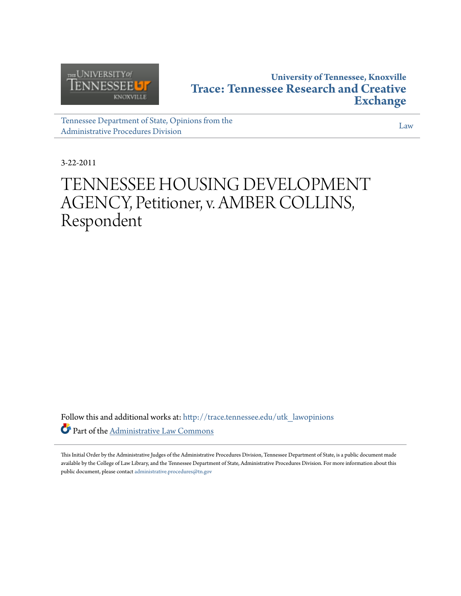

# **University of Tennessee, Knoxville [Trace: Tennessee Research and Creative](http://trace.tennessee.edu?utm_source=trace.tennessee.edu%2Futk_lawopinions%2F195&utm_medium=PDF&utm_campaign=PDFCoverPages) [Exchange](http://trace.tennessee.edu?utm_source=trace.tennessee.edu%2Futk_lawopinions%2F195&utm_medium=PDF&utm_campaign=PDFCoverPages)**

[Tennessee Department of State, Opinions from the](http://trace.tennessee.edu/utk_lawopinions?utm_source=trace.tennessee.edu%2Futk_lawopinions%2F195&utm_medium=PDF&utm_campaign=PDFCoverPages) [Administrative Procedures Division](http://trace.tennessee.edu/utk_lawopinions?utm_source=trace.tennessee.edu%2Futk_lawopinions%2F195&utm_medium=PDF&utm_campaign=PDFCoverPages)

[Law](http://trace.tennessee.edu/utk-law?utm_source=trace.tennessee.edu%2Futk_lawopinions%2F195&utm_medium=PDF&utm_campaign=PDFCoverPages)

3-22-2011

# TENNESSEE HOUSING DEVELOPMENT AGENCY, Petitioner, v. AMBER COLLINS, Respondent

Follow this and additional works at: [http://trace.tennessee.edu/utk\\_lawopinions](http://trace.tennessee.edu/utk_lawopinions?utm_source=trace.tennessee.edu%2Futk_lawopinions%2F195&utm_medium=PDF&utm_campaign=PDFCoverPages) Part of the [Administrative Law Commons](http://network.bepress.com/hgg/discipline/579?utm_source=trace.tennessee.edu%2Futk_lawopinions%2F195&utm_medium=PDF&utm_campaign=PDFCoverPages)

This Initial Order by the Administrative Judges of the Administrative Procedures Division, Tennessee Department of State, is a public document made available by the College of Law Library, and the Tennessee Department of State, Administrative Procedures Division. For more information about this public document, please contact [administrative.procedures@tn.gov](mailto:administrative.procedures@tn.gov)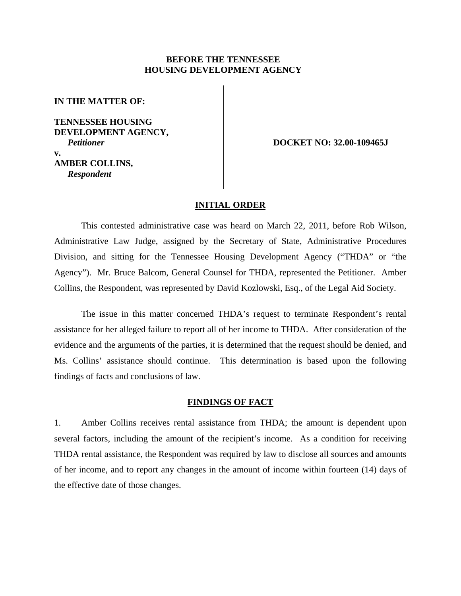# **BEFORE THE TENNESSEE HOUSING DEVELOPMENT AGENCY**

**IN THE MATTER OF:**

**TENNESSEE HOUSING DEVELOPMENT AGENCY,** *Petitioner* **v. AMBER COLLINS,**  *Respondent* 

 **DOCKET NO: 32.00-109465J** 

#### **INITIAL ORDER**

This contested administrative case was heard on March 22, 2011, before Rob Wilson, Administrative Law Judge, assigned by the Secretary of State, Administrative Procedures Division, and sitting for the Tennessee Housing Development Agency ("THDA" or "the Agency"). Mr. Bruce Balcom, General Counsel for THDA, represented the Petitioner. Amber Collins, the Respondent, was represented by David Kozlowski, Esq., of the Legal Aid Society.

The issue in this matter concerned THDA's request to terminate Respondent's rental assistance for her alleged failure to report all of her income to THDA. After consideration of the evidence and the arguments of the parties, it is determined that the request should be denied, and Ms. Collins' assistance should continue. This determination is based upon the following findings of facts and conclusions of law.

### **FINDINGS OF FACT**

1. Amber Collins receives rental assistance from THDA; the amount is dependent upon several factors, including the amount of the recipient's income. As a condition for receiving THDA rental assistance, the Respondent was required by law to disclose all sources and amounts of her income, and to report any changes in the amount of income within fourteen (14) days of the effective date of those changes.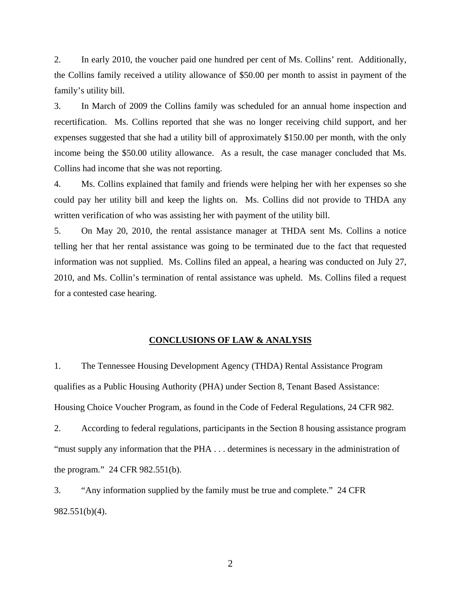2. In early 2010, the voucher paid one hundred per cent of Ms. Collins' rent. Additionally, the Collins family received a utility allowance of \$50.00 per month to assist in payment of the family's utility bill.

3. In March of 2009 the Collins family was scheduled for an annual home inspection and recertification. Ms. Collins reported that she was no longer receiving child support, and her expenses suggested that she had a utility bill of approximately \$150.00 per month, with the only income being the \$50.00 utility allowance. As a result, the case manager concluded that Ms. Collins had income that she was not reporting.

4. Ms. Collins explained that family and friends were helping her with her expenses so she could pay her utility bill and keep the lights on. Ms. Collins did not provide to THDA any written verification of who was assisting her with payment of the utility bill.

5. On May 20, 2010, the rental assistance manager at THDA sent Ms. Collins a notice telling her that her rental assistance was going to be terminated due to the fact that requested information was not supplied. Ms. Collins filed an appeal, a hearing was conducted on July 27, 2010, and Ms. Collin's termination of rental assistance was upheld. Ms. Collins filed a request for a contested case hearing.

# **CONCLUSIONS OF LAW & ANALYSIS**

1. The Tennessee Housing Development Agency (THDA) Rental Assistance Program qualifies as a Public Housing Authority (PHA) under Section 8, Tenant Based Assistance: Housing Choice Voucher Program, as found in the Code of Federal Regulations, 24 CFR 982.

2. According to federal regulations, participants in the Section 8 housing assistance program "must supply any information that the PHA . . . determines is necessary in the administration of the program." 24 CFR 982.551(b).

3. "Any information supplied by the family must be true and complete." 24 CFR 982.551(b)(4).

2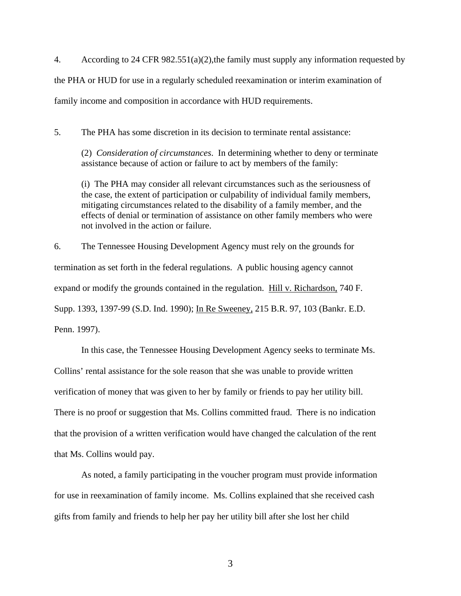4. According to 24 CFR 982.551(a)(2),the family must supply any information requested by the PHA or HUD for use in a regularly scheduled reexamination or interim examination of family income and composition in accordance with HUD requirements.

5. The PHA has some discretion in its decision to terminate rental assistance:

(2) *Consideration of circumstances*. In determining whether to deny or terminate assistance because of action or failure to act by members of the family:

(i) The PHA may consider all relevant circumstances such as the seriousness of the case, the extent of participation or culpability of individual family members, mitigating circumstances related to the disability of a family member, and the effects of denial or termination of assistance on other family members who were not involved in the action or failure.

6. The Tennessee Housing Development Agency must rely on the grounds for termination as set forth in the federal regulations. A public housing agency cannot expand or modify the grounds contained in the regulation. Hill v. Richardson, 740 F. Supp. 1393, 1397-99 (S.D. Ind. 1990); In Re Sweeney, 215 B.R. 97, 103 (Bankr. E.D. Penn. 1997).

In this case, the Tennessee Housing Development Agency seeks to terminate Ms. Collins' rental assistance for the sole reason that she was unable to provide written verification of money that was given to her by family or friends to pay her utility bill. There is no proof or suggestion that Ms. Collins committed fraud. There is no indication that the provision of a written verification would have changed the calculation of the rent that Ms. Collins would pay.

 As noted, a family participating in the voucher program must provide information for use in reexamination of family income. Ms. Collins explained that she received cash gifts from family and friends to help her pay her utility bill after she lost her child

3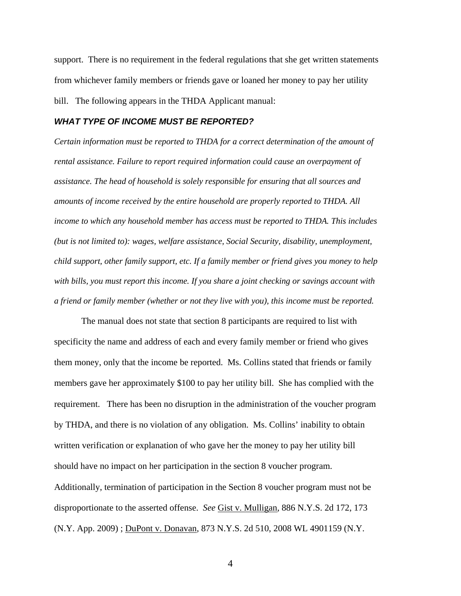support. There is no requirement in the federal regulations that she get written statements from whichever family members or friends gave or loaned her money to pay her utility bill. The following appears in the THDA Applicant manual:

# *WHAT TYPE OF INCOME MUST BE REPORTED?*

*Certain information must be reported to THDA for a correct determination of the amount of rental assistance. Failure to report required information could cause an overpayment of assistance. The head of household is solely responsible for ensuring that all sources and amounts of income received by the entire household are properly reported to THDA. All income to which any household member has access must be reported to THDA. This includes (but is not limited to): wages, welfare assistance, Social Security, disability, unemployment, child support, other family support, etc. If a family member or friend gives you money to help with bills, you must report this income. If you share a joint checking or savings account with a friend or family member (whether or not they live with you), this income must be reported.*

The manual does not state that section 8 participants are required to list with specificity the name and address of each and every family member or friend who gives them money, only that the income be reported. Ms. Collins stated that friends or family members gave her approximately \$100 to pay her utility bill. She has complied with the requirement. There has been no disruption in the administration of the voucher program by THDA, and there is no violation of any obligation. Ms. Collins' inability to obtain written verification or explanation of who gave her the money to pay her utility bill should have no impact on her participation in the section 8 voucher program. Additionally, termination of participation in the Section 8 voucher program must not be disproportionate to the asserted offense. *See* Gist v. Mulligan, 886 N.Y.S. 2d 172, 173 (N.Y. App. 2009) ; DuPont v. Donavan, 873 N.Y.S. 2d 510, 2008 WL 4901159 (N.Y.

4